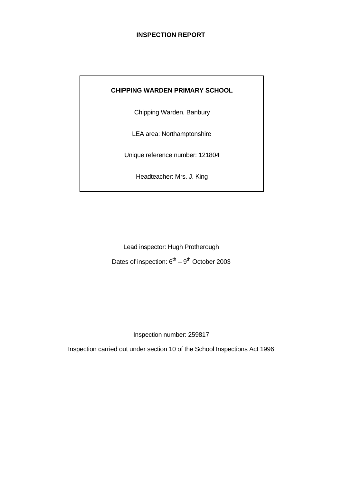## **INSPECTION REPORT**

## **CHIPPING WARDEN PRIMARY SCHOOL**

Chipping Warden, Banbury

LEA area: Northamptonshire

Unique reference number: 121804

Headteacher: Mrs. J. King

Lead inspector: Hugh Protherough Dates of inspection:  $6^{th} - 9^{th}$  October 2003

Inspection number: 259817

Inspection carried out under section 10 of the School Inspections Act 1996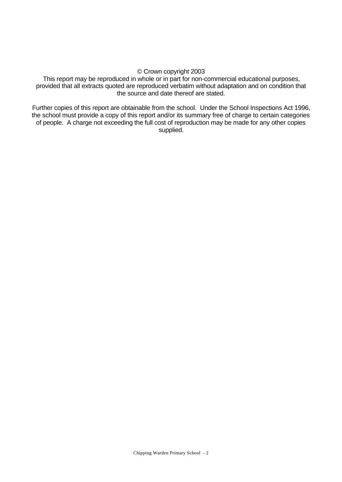#### © Crown copyright 2003

This report may be reproduced in whole or in part for non-commercial educational purposes, provided that all extracts quoted are reproduced verbatim without adaptation and on condition that the source and date thereof are stated.

Further copies of this report are obtainable from the school. Under the School Inspections Act 1996, the school must provide a copy of this report and/or its summary free of charge to certain categories of people. A charge not exceeding the full cost of reproduction may be made for any other copies supplied.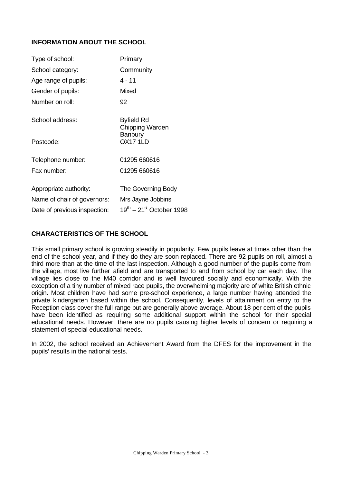## **INFORMATION ABOUT THE SCHOOL**

| Type of school:              | Primary                                   |
|------------------------------|-------------------------------------------|
| School category:             | Community                                 |
| Age range of pupils:         | $4 - 11$                                  |
| Gender of pupils:            | Mixed                                     |
| Number on roll:              | 92                                        |
| School address:              | <b>Byfield Rd</b><br>Chipping Warden      |
| Postcode:                    | <b>Banbury</b><br><b>OX17 1LD</b>         |
| Telephone number:            | 01295 660616                              |
| Fax number:                  | 01295 660616                              |
| Appropriate authority:       | The Governing Body                        |
| Name of chair of governors:  | Mrs Jayne Jobbins                         |
| Date of previous inspection: | $19^{th}$ – 21 <sup>st</sup> October 1998 |

#### **CHARACTERISTICS OF THE SCHOOL**

This small primary school is growing steadily in popularity. Few pupils leave at times other than the end of the school year, and if they do they are soon replaced. There are 92 pupils on roll, almost a third more than at the time of the last inspection. Although a good number of the pupils come from the village, most live further afield and are transported to and from school by car each day. The village lies close to the M40 corridor and is well favoured socially and economically. With the exception of a tiny number of mixed race pupils, the overwhelming majority are of white British ethnic origin. Most children have had some pre-school experience, a large number having attended the private kindergarten based within the school. Consequently, levels of attainment on entry to the Reception class cover the full range but are generally above average. About 18 per cent of the pupils have been identified as requiring some additional support within the school for their special educational needs. However, there are no pupils causing higher levels of concern or requiring a statement of special educational needs.

In 2002, the school received an Achievement Award from the DFES for the improvement in the pupils' results in the national tests.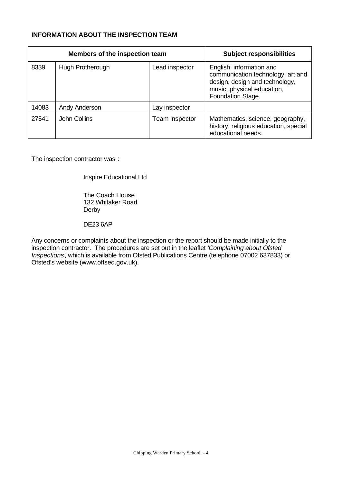# **INFORMATION ABOUT THE INSPECTION TEAM**

|       | Members of the inspection team | <b>Subject responsibilities</b> |                                                                                                                                                    |
|-------|--------------------------------|---------------------------------|----------------------------------------------------------------------------------------------------------------------------------------------------|
| 8339  | Hugh Protherough               | Lead inspector                  | English, information and<br>communication technology, art and<br>design, design and technology,<br>music, physical education,<br>Foundation Stage. |
| 14083 | Andy Anderson                  | Lay inspector                   |                                                                                                                                                    |
| 27541 | John Collins                   | Team inspector                  | Mathematics, science, geography,<br>history, religious education, special<br>educational needs.                                                    |

The inspection contractor was :

Inspire Educational Ltd

The Coach House 132 Whitaker Road Derby

DE23 6AP

Any concerns or complaints about the inspection or the report should be made initially to the inspection contractor. The procedures are set out in the leaflet *'Complaining about Ofsted Inspections'*, which is available from Ofsted Publications Centre (telephone 07002 637833) or Ofsted's website (www.oftsed.gov.uk).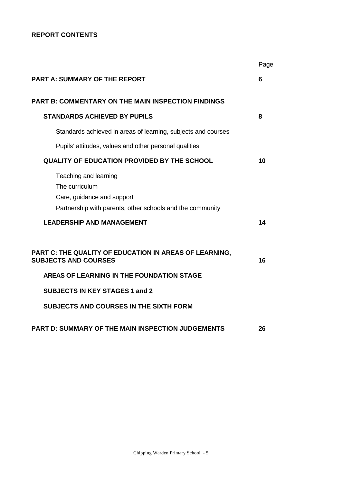# **REPORT CONTENTS**

|                                                                                                                                                                        | Page |
|------------------------------------------------------------------------------------------------------------------------------------------------------------------------|------|
| <b>PART A: SUMMARY OF THE REPORT</b>                                                                                                                                   | 6    |
| <b>PART B: COMMENTARY ON THE MAIN INSPECTION FINDINGS</b>                                                                                                              |      |
| <b>STANDARDS ACHIEVED BY PUPILS</b>                                                                                                                                    | 8    |
| Standards achieved in areas of learning, subjects and courses                                                                                                          |      |
| Pupils' attitudes, values and other personal qualities                                                                                                                 |      |
| <b>QUALITY OF EDUCATION PROVIDED BY THE SCHOOL</b>                                                                                                                     | 10   |
| Teaching and learning<br>The curriculum<br>Care, guidance and support<br>Partnership with parents, other schools and the community<br><b>LEADERSHIP AND MANAGEMENT</b> | 14   |
| PART C: THE QUALITY OF EDUCATION IN AREAS OF LEARNING,<br><b>SUBJECTS AND COURSES</b><br>AREAS OF LEARNING IN THE FOUNDATION STAGE                                     | 16   |
|                                                                                                                                                                        |      |
| <b>SUBJECTS IN KEY STAGES 1 and 2</b>                                                                                                                                  |      |
| <b>SUBJECTS AND COURSES IN THE SIXTH FORM</b>                                                                                                                          |      |
| <b>PART D: SUMMARY OF THE MAIN INSPECTION JUDGEMENTS</b>                                                                                                               | 26   |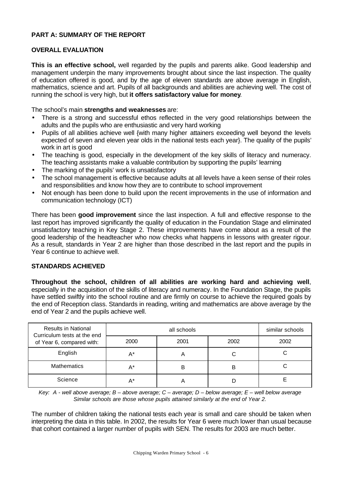## **PART A: SUMMARY OF THE REPORT**

#### **OVERALL EVALUATION**

**This is an effective school,** well regarded by the pupils and parents alike. Good leadership and management underpin the many improvements brought about since the last inspection. The quality of education offered is good, and by the age of eleven standards are above average in English, mathematics, science and art. Pupils of all backgrounds and abilities are achieving well. The cost of running the school is very high, but **it offers satisfactory value for money**.

The school's main **strengths and weaknesses** are:

- There is a strong and successful ethos reflected in the very good relationships between the adults and the pupils who are enthusiastic and very hard working
- Pupils of all abilities achieve well {with many higher attainers exceeding well beyond the levels expected of seven and eleven year olds in the national tests each year}. The quality of the pupils' work in art is good
- The teaching is good, especially in the development of the key skills of literacy and numeracy. The teaching assistants make a valuable contribution by supporting the pupils' learning
- The marking of the pupils' work is unsatisfactory
- The school management is effective because adults at all levels have a keen sense of their roles and responsibilities and know how they are to contribute to school improvement
- Not enough has been done to build upon the recent improvements in the use of information and communication technology (ICT)

There has been **good improvement** since the last inspection. A full and effective response to the last report has improved significantly the quality of education in the Foundation Stage and eliminated unsatisfactory teaching in Key Stage 2. These improvements have come about as a result of the good leadership of the headteacher who now checks what happens in lessons with greater rigour. As a result, standards in Year 2 are higher than those described in the last report and the pupils in Year 6 continue to achieve well.

## **STANDARDS ACHIEVED**

**Throughout the school, children of all abilities are working hard and achieving well**, especially in the acquisition of the skills of literacy and numeracy. In the Foundation Stage, the pupils have settled swiftly into the school routine and are firmly on course to achieve the required goals by the end of Reception class. Standards in reading, writing and mathematics are above average by the end of Year 2 and the pupils achieve well.

| <b>Results in National</b><br>Curriculum tests at the end |       | similar schools |      |      |
|-----------------------------------------------------------|-------|-----------------|------|------|
| of Year 6, compared with:                                 | 2000  | 2001            | 2002 | 2002 |
| English                                                   | $A^*$ |                 |      |      |
| <b>Mathematics</b>                                        | $A^*$ | B               | В    |      |
| Science                                                   | A*    |                 |      |      |

*Key: A - well above average; B – above average; C – average; D – below average; E – well below average Similar schools are those whose pupils attained similarly at the end of Year 2.*

The number of children taking the national tests each year is small and care should be taken when interpreting the data in this table. In 2002, the results for Year 6 were much lower than usual because that cohort contained a larger number of pupils with SEN. The results for 2003 are much better.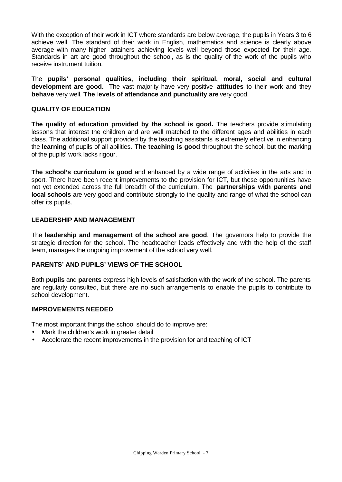With the exception of their work in ICT where standards are below average, the pupils in Years 3 to 6 achieve well. The standard of their work in English, mathematics and science is clearly above average with many higher attainers achieving levels well beyond those expected for their age. Standards in art are good throughout the school, as is the quality of the work of the pupils who receive instrument tuition.

The **pupils' personal qualities, including their spiritual, moral, social and cultural development are good.** The vast majority have very positive **attitudes** to their work and they **behave** very well. **The** l**evels of attendance and punctuality are** very good.

## **QUALITY OF EDUCATION**

**The quality of education provided by the school is good.** The teachers provide stimulating lessons that interest the children and are well matched to the different ages and abilities in each class. The additional support provided by the teaching assistants is extremely effective in enhancing the **learning** of pupils of all abilities. **The teaching is good** throughout the school, but the marking of the pupils' work lacks rigour.

**The school's curriculum is good** and enhanced by a wide range of activities in the arts and in sport. There have been recent improvements to the provision for ICT, but these opportunities have not yet extended across the full breadth of the curriculum. The **partnerships with parents and local schools** are very good and contribute strongly to the quality and range of what the school can offer its pupils.

#### **LEADERSHIP AND MANAGEMENT**

The **leadership and management of the school are good**. The governors help to provide the strategic direction for the school. The headteacher leads effectively and with the help of the staff team, manages the ongoing improvement of the school very well.

#### **PARENTS' AND PUPILS' VIEWS OF THE SCHOOL**

Both **pupils** and **parents** express high levels of satisfaction with the work of the school. The parents are regularly consulted, but there are no such arrangements to enable the pupils to contribute to school development.

#### **IMPROVEMENTS NEEDED**

The most important things the school should do to improve are:

- Mark the children's work in greater detail
- Accelerate the recent improvements in the provision for and teaching of ICT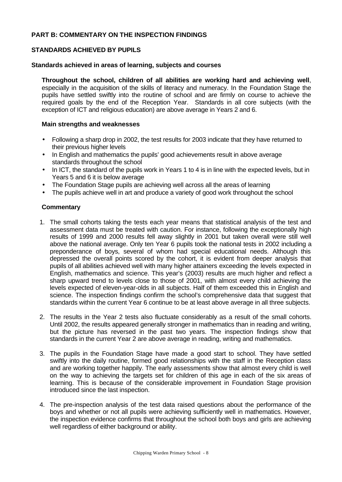#### **PART B: COMMENTARY ON THE INSPECTION FINDINGS**

#### **STANDARDS ACHIEVED BY PUPILS**

#### **Standards achieved in areas of learning, subjects and courses**

**Throughout the school, children of all abilities are working hard and achieving well**, especially in the acquisition of the skills of literacy and numeracy. In the Foundation Stage the pupils have settled swiftly into the routine of school and are firmly on course to achieve the required goals by the end of the Reception Year. Standards in all core subjects (with the exception of ICT and religious education) are above average in Years 2 and 6.

## **Main strengths and weaknesses**

- Following a sharp drop in 2002, the test results for 2003 indicate that they have returned to their previous higher levels
- In English and mathematics the pupils' good achievements result in above average standards throughout the school
- In ICT, the standard of the pupils work in Years 1 to 4 is in line with the expected levels, but in Years 5 and 6 it is below average
- The Foundation Stage pupils are achieving well across all the areas of learning
- The pupils achieve well in art and produce a variety of good work throughout the school

#### **Commentary**

- 1. The small cohorts taking the tests each year means that statistical analysis of the test and assessment data must be treated with caution. For instance, following the exceptionally high results of 1999 and 2000 results fell away slightly in 2001 but taken overall were still well above the national average. Only ten Year 6 pupils took the national tests in 2002 including a preponderance of boys, several of whom had special educational needs. Although this depressed the overall points scored by the cohort, it is evident from deeper analysis that pupils of all abilities achieved well with many higher attainers exceeding the levels expected in English, mathematics and science. This year's (2003) results are much higher and reflect a sharp upward trend to levels close to those of 2001, with almost every child achieving the levels expected of eleven-year-olds in all subjects. Half of them exceeded this in English and science. The inspection findings confirm the school's comprehensive data that suggest that standards within the current Year 6 continue to be at least above average in all three subjects.
- 2. The results in the Year 2 tests also fluctuate considerably as a result of the small cohorts. Until 2002, the results appeared generally stronger in mathematics than in reading and writing, but the picture has reversed in the past two years. The inspection findings show that standards in the current Year 2 are above average in reading, writing and mathematics.
- 3. The pupils in the Foundation Stage have made a good start to school. They have settled swiftly into the daily routine, formed good relationships with the staff in the Reception class and are working together happily. The early assessments show that almost every child is well on the way to achieving the targets set for children of this age in each of the six areas of learning. This is because of the considerable improvement in Foundation Stage provision introduced since the last inspection.
- 4. The pre-inspection analysis of the test data raised questions about the performance of the boys and whether or not all pupils were achieving sufficiently well in mathematics. However, the inspection evidence confirms that throughout the school both boys and girls are achieving well regardless of either background or ability.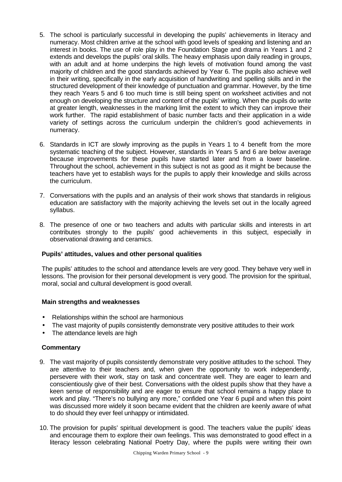- 5. The school is particularly successful in developing the pupils' achievements in literacy and numeracy. Most children arrive at the school with good levels of speaking and listening and an interest in books. The use of role play in the Foundation Stage and drama in Years 1 and 2 extends and develops the pupils' oral skills. The heavy emphasis upon daily reading in groups, with an adult and at home underpins the high levels of motivation found among the vast majority of children and the good standards achieved by Year 6. The pupils also achieve well in their writing, specifically in the early acquisition of handwriting and spelling skills and in the structured development of their knowledge of punctuation and grammar. However, by the time they reach Years 5 and 6 too much time is still being spent on worksheet activities and not enough on developing the structure and content of the pupils' writing. When the pupils do write at greater length, weaknesses in the marking limit the extent to which they can improve their work further. The rapid establishment of basic number facts and their application in a wide variety of settings across the curriculum underpin the children's good achievements in numeracy.
- 6. Standards in ICT are slowly improving as the pupils in Years 1 to 4 benefit from the more systematic teaching of the subject. However, standards in Years 5 and 6 are below average because improvements for these pupils have started later and from a lower baseline. Throughout the school, achievement in this subject is not as good as it might be because the teachers have yet to establish ways for the pupils to apply their knowledge and skills across the curriculum.
- 7. Conversations with the pupils and an analysis of their work shows that standards in religious education are satisfactory with the majority achieving the levels set out in the locally agreed syllabus.
- 8. The presence of one or two teachers and adults with particular skills and interests in art contributes strongly to the pupils' good achievements in this subject, especially in observational drawing and ceramics.

#### **Pupils' attitudes, values and other personal qualities**

The pupils' attitudes to the school and attendance levels are very good. They behave very well in lessons. The provision for their personal development is very good. The provision for the spiritual, moral, social and cultural development is good overall.

#### **Main strengths and weaknesses**

- Relationships within the school are harmonious
- The vast majority of pupils consistently demonstrate very positive attitudes to their work
- The attendance levels are high

#### **Commentary**

- 9. The vast majority of pupils consistently demonstrate very positive attitudes to the school. They are attentive to their teachers and, when given the opportunity to work independently, persevere with their work, stay on task and concentrate well. They are eager to learn and conscientiously give of their best. Conversations with the oldest pupils show that they have a keen sense of responsibility and are eager to ensure that school remains a happy place to work and play. "There's no bullying any more," confided one Year 6 pupil and when this point was discussed more widely it soon became evident that the children are keenly aware of what to do should they ever feel unhappy or intimidated.
- 10. The provision for pupils' spiritual development is good. The teachers value the pupils' ideas and encourage them to explore their own feelings. This was demonstrated to good effect in a literacy lesson celebrating National Poetry Day, where the pupils were writing their own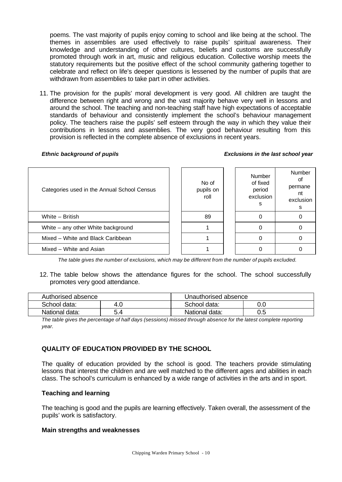poems. The vast majority of pupils enjoy coming to school and like being at the school. The themes in assemblies are used effectively to raise pupils' spiritual awareness. Their knowledge and understanding of other cultures, beliefs and customs are successfully promoted through work in art, music and religious education. Collective worship meets the statutory requirements but the positive effect of the school community gathering together to celebrate and reflect on life's deeper questions is lessened by the number of pupils that are withdrawn from assemblies to take part in other activities.

11. The provision for the pupils' moral development is very good. All children are taught the difference between right and wrong and the vast majority behave very well in lessons and around the school. The teaching and non-teaching staff have high expectations of acceptable standards of behaviour and consistently implement the school's behaviour management policy. The teachers raise the pupils' self esteem through the way in which they value their contributions in lessons and assemblies. The very good behaviour resulting from this provision is reflected in the complete absence of exclusions in recent years.

#### *Ethnic background of pupils Exclusions in the last school year*

| Categories used in the Annual School Census | No of<br>pupils on<br>roll | <b>Number</b><br>of fixed<br>period<br>exclusion<br>s | Number<br>οt<br>permane<br>nt<br>exclusion<br>s |
|---------------------------------------------|----------------------------|-------------------------------------------------------|-------------------------------------------------|
| White - British                             | 89                         |                                                       |                                                 |
| White – any other White background          |                            |                                                       |                                                 |
| Mixed - White and Black Caribbean           |                            |                                                       |                                                 |
| Mixed - White and Asian                     |                            |                                                       |                                                 |

*The table gives the number of exclusions, which may be different from the number of pupils excluded.*

12. The table below shows the attendance figures for the school. The school successfully promotes very good attendance.

| Authorised absence |          | Unauthorised absence |     |  |
|--------------------|----------|----------------------|-----|--|
| School data:       | 0.،<br>4 | School data:         |     |  |
| National data:     | 5.4      | National data:       | 0.5 |  |

*The table gives the percentage of half days (sessions) missed through absence for the latest complete reporting year.*

## **QUALITY OF EDUCATION PROVIDED BY THE SCHOOL**

The quality of education provided by the school is good. The teachers provide stimulating lessons that interest the children and are well matched to the different ages and abilities in each class. The school's curriculum is enhanced by a wide range of activities in the arts and in sport.

#### **Teaching and learning**

The teaching is good and the pupils are learning effectively. Taken overall, the assessment of the pupils' work is satisfactory.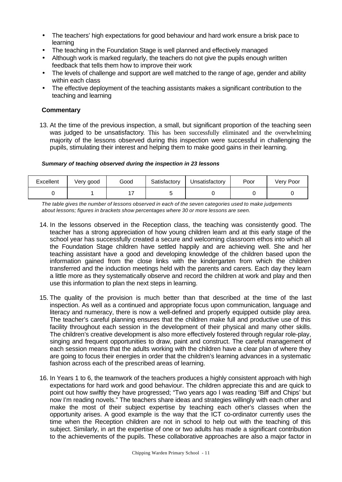- The teachers' high expectations for good behaviour and hard work ensure a brisk pace to learning
- The teaching in the Foundation Stage is well planned and effectively managed
- Although work is marked regularly, the teachers do not give the pupils enough written feedback that tells them how to improve their work
- The levels of challenge and support are well matched to the range of age, gender and ability within each class
- The effective deployment of the teaching assistants makes a significant contribution to the teaching and learning

## **Commentary**

13. At the time of the previous inspection, a small, but significant proportion of the teaching seen was judged to be unsatisfactory. This has been successfully eliminated and the overwhelming majority of the lessons observed during this inspection were successful in challenging the pupils, stimulating their interest and helping them to make good gains in their learning.

#### *Summary of teaching observed during the inspection in 23 lessons*

| Excellent | Very good | Good | Satisfactory | <b>J</b> nsatisfactory | Poor | Very Poor |
|-----------|-----------|------|--------------|------------------------|------|-----------|
|           |           |      |              |                        |      |           |

*The table gives the number of lessons observed in each of the seven categories used to make judgements about lessons; figures in brackets show percentages where 30 or more lessons are seen.*

- 14. In the lessons observed in the Reception class, the teaching was consistently good. The teacher has a strong appreciation of how young children learn and at this early stage of the school year has successfully created a secure and welcoming classroom ethos into which all the Foundation Stage children have settled happily and are achieving well. She and her teaching assistant have a good and developing knowledge of the children based upon the information gained from the close links with the kindergarten from which the children transferred and the induction meetings held with the parents and carers. Each day they learn a little more as they systematically observe and record the children at work and play and then use this information to plan the next steps in learning.
- 15. The quality of the provision is much better than that described at the time of the last inspection. As well as a continued and appropriate focus upon communication, language and literacy and numeracy, there is now a well-defined and properly equipped outside play area. The teacher's careful planning ensures that the children make full and productive use of this facility throughout each session in the development of their physical and many other skills. The children's creative development is also more effectively fostered through regular role-play, singing and frequent opportunities to draw, paint and construct. The careful management of each session means that the adults working with the children have a clear plan of where they are going to focus their energies in order that the children's learning advances in a systematic fashion across each of the prescribed areas of learning.
- 16. In Years 1 to 6, the teamwork of the teachers produces a highly consistent approach with high expectations for hard work and good behaviour. The children appreciate this and are quick to point out how swiftly they have progressed; "Two years ago I was reading 'Biff and Chips' but now I'm reading novels." The teachers share ideas and strategies willingly with each other and make the most of their subject expertise by teaching each other's classes when the opportunity arises. A good example is the way that the ICT co-ordinator currently uses the time when the Reception children are not in school to help out with the teaching of this subject. Similarly, in art the expertise of one or two adults has made a significant contribution to the achievements of the pupils. These collaborative approaches are also a major factor in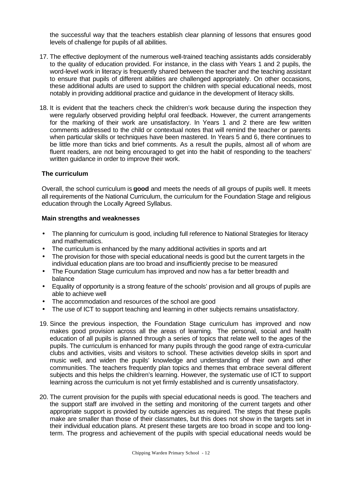the successful way that the teachers establish clear planning of lessons that ensures good levels of challenge for pupils of all abilities.

- 17. The effective deployment of the numerous well-trained teaching assistants adds considerably to the quality of education provided. For instance, in the class with Years 1 and 2 pupils, the word-level work in literacy is frequently shared between the teacher and the teaching assistant to ensure that pupils of different abilities are challenged appropriately. On other occasions, these additional adults are used to support the children with special educational needs, most notably in providing additional practice and guidance in the development of literacy skills.
- 18. It is evident that the teachers check the children's work because during the inspection they were regularly observed providing helpful oral feedback. However, the current arrangements for the marking of their work are unsatisfactory. In Years 1 and 2 there are few written comments addressed to the child or contextual notes that will remind the teacher or parents when particular skills or techniques have been mastered. In Years 5 and 6, there continues to be little more than ticks and brief comments. As a result the pupils, almost all of whom are fluent readers, are not being encouraged to get into the habit of responding to the teachers' written guidance in order to improve their work.

#### **The curriculum**

Overall, the school curriculum is **good** and meets the needs of all groups of pupils well. It meets all requirements of the National Curriculum, the curriculum for the Foundation Stage and religious education through the Locally Agreed Syllabus.

- The planning for curriculum is good, including full reference to National Strategies for literacy and mathematics.
- The curriculum is enhanced by the many additional activities in sports and art
- The provision for those with special educational needs is good but the current targets in the individual education plans are too broad and insufficiently precise to be measured
- The Foundation Stage curriculum has improved and now has a far better breadth and balance
- Equality of opportunity is a strong feature of the schools' provision and all groups of pupils are able to achieve well
- The accommodation and resources of the school are good
- The use of ICT to support teaching and learning in other subjects remains unsatisfactory.
- 19. Since the previous inspection, the Foundation Stage curriculum has improved and now makes good provision across all the areas of learning. The personal, social and health education of all pupils is planned through a series of topics that relate well to the ages of the pupils. The curriculum is enhanced for many pupils through the good range of extra-curricular clubs and activities, visits and visitors to school. These activities develop skills in sport and music well, and widen the pupils' knowledge and understanding of their own and other communities. The teachers frequently plan topics and themes that embrace several different subjects and this helps the children's learning. However, the systematic use of ICT to support learning across the curriculum is not yet firmly established and is currently unsatisfactory.
- 20. The current provision for the pupils with special educational needs is good. The teachers and the support staff are involved in the setting and monitoring of the current targets and other appropriate support is provided by outside agencies as required. The steps that these pupils make are smaller than those of their classmates, but this does not show in the targets set in their individual education plans. At present these targets are too broad in scope and too longterm. The progress and achievement of the pupils with special educational needs would be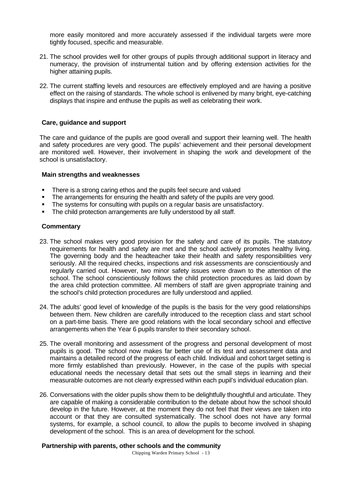more easily monitored and more accurately assessed if the individual targets were more tightly focused, specific and measurable.

- 21. The school provides well for other groups of pupils through additional support in literacy and numeracy, the provision of instrumental tuition and by offering extension activities for the higher attaining pupils.
- 22. The current staffing levels and resources are effectively employed and are having a positive effect on the raising of standards. The whole school is enlivened by many bright, eye-catching displays that inspire and enthuse the pupils as well as celebrating their work.

#### **Care, guidance and support**

The care and guidance of the pupils are good overall and support their learning well. The health and safety procedures are very good. The pupils' achievement and their personal development are monitored well. However, their involvement in shaping the work and development of the school is unsatisfactory.

#### **Main strengths and weaknesses**

- There is a strong caring ethos and the pupils feel secure and valued
- The arrangements for ensuring the health and safety of the pupils are very good.
- The systems for consulting with pupils on a regular basis are unsatisfactory.
- The child protection arrangements are fully understood by all staff.

#### **Commentary**

- 23. The school makes very good provision for the safety and care of its pupils. The statutory requirements for health and safety are met and the school actively promotes healthy living. The governing body and the headteacher take their health and safety responsibilities very seriously. All the required checks, inspections and risk assessments are conscientiously and regularly carried out. However, two minor safety issues were drawn to the attention of the school. The school conscientiously follows the child protection procedures as laid down by the area child protection committee. All members of staff are given appropriate training and the school's child protection procedures are fully understood and applied.
- 24. The adults' good level of knowledge of the pupils is the basis for the very good relationships between them. New children are carefully introduced to the reception class and start school on a part-time basis. There are good relations with the local secondary school and effective arrangements when the Year 6 pupils transfer to their secondary school.
- 25. The overall monitoring and assessment of the progress and personal development of most pupils is good. The school now makes far better use of its test and assessment data and maintains a detailed record of the progress of each child. Individual and cohort target setting is more firmly established than previously. However, in the case of the pupils with special educational needs the necessary detail that sets out the small steps in learning and their measurable outcomes are not clearly expressed within each pupil's individual education plan.
- 26. Conversations with the older pupils show them to be delightfully thoughtful and articulate. They are capable of making a considerable contribution to the debate about how the school should develop in the future. However, at the moment they do not feel that their views are taken into account or that they are consulted systematically. The school does not have any formal systems, for example, a school council, to allow the pupils to become involved in shaping development of the school. This is an area of development for the school.

#### **Partnership with parents, other schools and the community**

Chipping Warden Primary School - 13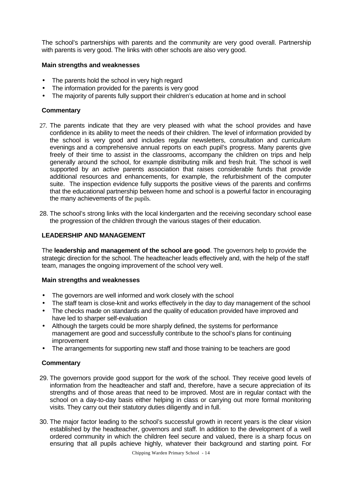The school's partnerships with parents and the community are very good overall. Partnership with parents is very good. The links with other schools are also very good.

#### **Main strengths and weaknesses**

- The parents hold the school in very high regard
- The information provided for the parents is very good
- The majority of parents fully support their children's education at home and in school

## **Commentary**

- 27. The parents indicate that they are very pleased with what the school provides and have confidence in its ability to meet the needs of their children. The level of information provided by the school is very good and includes regular newsletters, consultation and curriculum evenings and a comprehensive annual reports on each pupil's progress. Many parents give freely of their time to assist in the classrooms, accompany the children on trips and help generally around the school, for example distributing milk and fresh fruit. The school is well supported by an active parents association that raises considerable funds that provide additional resources and enhancements, for example, the refurbishment of the computer suite. The inspection evidence fully supports the positive views of the parents and confirms that the educational partnership between home and school is a powerful factor in encouraging the many achievements of the pupils.
- 28. The school's strong links with the local kindergarten and the receiving secondary school ease the progression of the children through the various stages of their education.

## **LEADERSHIP AND MANAGEMENT**

The **leadership and management of the school are good**. The governors help to provide the strategic direction for the school. The headteacher leads effectively and, with the help of the staff team, manages the ongoing improvement of the school very well.

## **Main strengths and weaknesses**

- The governors are well informed and work closely with the school
- The staff team is close-knit and works effectively in the day to day management of the school
- The checks made on standards and the quality of education provided have improved and have led to sharper self-evaluation
- Although the targets could be more sharply defined, the systems for performance management are good and successfully contribute to the school's plans for continuing improvement
- The arrangements for supporting new staff and those training to be teachers are good

#### **Commentary**

- 29. The governors provide good support for the work of the school. They receive good levels of information from the headteacher and staff and, therefore, have a secure appreciation of its strengths and of those areas that need to be improved. Most are in regular contact with the school on a day-to-day basis either helping in class or carrying out more formal monitoring visits. They carry out their statutory duties diligently and in full.
- 30. The major factor leading to the school's successful growth in recent years is the clear vision established by the headteacher, governors and staff. In addition to the development of a well ordered community in which the children feel secure and valued, there is a sharp focus on ensuring that all pupils achieve highly, whatever their background and starting point. For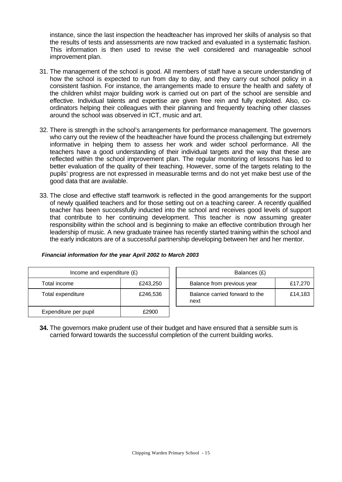instance, since the last inspection the headteacher has improved her skills of analysis so that the results of tests and assessments are now tracked and evaluated in a systematic fashion. This information is then used to revise the well considered and manageable school improvement plan.

- 31. The management of the school is good. All members of staff have a secure understanding of how the school is expected to run from day to day, and they carry out school policy in a consistent fashion. For instance, the arrangements made to ensure the health and safety of the children whilst major building work is carried out on part of the school are sensible and effective. Individual talents and expertise are given free rein and fully exploited. Also, coordinators helping their colleagues with their planning and frequently teaching other classes around the school was observed in ICT, music and art.
- 32. There is strength in the school's arrangements for performance management. The governors who carry out the review of the headteacher have found the process challenging but extremely informative in helping them to assess her work and wider school performance. All the teachers have a good understanding of their individual targets and the way that these are reflected within the school improvement plan. The regular monitoring of lessons has led to better evaluation of the quality of their teaching. However, some of the targets relating to the pupils' progress are not expressed in measurable terms and do not yet make best use of the good data that are available.
- 33. The close and effective staff teamwork is reflected in the good arrangements for the support of newly qualified teachers and for those setting out on a teaching career. A recently qualified teacher has been successfully inducted into the school and receives good levels of support that contribute to her continuing development. This teacher is now assuming greater responsibility within the school and is beginning to make an effective contribution through her leadership of music. A new graduate trainee has recently started training within the school and the early indicators are of a successful partnership developing between her and her mentor.

#### *Financial information for the year April 2002 to March 2003*

| Income and expenditure $(E)$ |                                                            |  | Balances (£)                   |         |  |  |  |  |  |  |         |
|------------------------------|------------------------------------------------------------|--|--------------------------------|---------|--|--|--|--|--|--|---------|
| Total income                 | Balance from previous year<br>£243,250<br>£246,536<br>next |  |                                |         |  |  |  |  |  |  | £17,270 |
| Total expenditure            |                                                            |  | Balance carried forward to the | £14,183 |  |  |  |  |  |  |         |
| Expenditure per pupil        | £2900                                                      |  |                                |         |  |  |  |  |  |  |         |

**34.** The governors make prudent use of their budget and have ensured that a sensible sum is carried forward towards the successful completion of the current building works.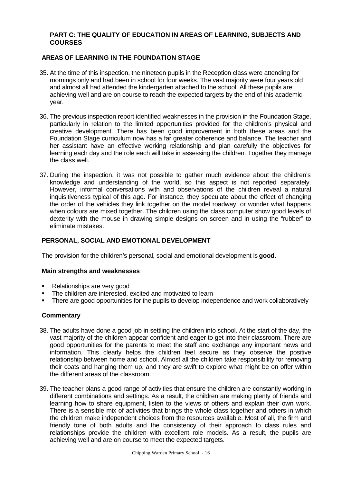#### **PART C: THE QUALITY OF EDUCATION IN AREAS OF LEARNING, SUBJECTS AND COURSES**

## **AREAS OF LEARNING IN THE FOUNDATION STAGE**

- 35. At the time of this inspection, the nineteen pupils in the Reception class were attending for mornings only and had been in school for four weeks. The vast majority were four years old and almost all had attended the kindergarten attached to the school. All these pupils are achieving well and are on course to reach the expected targets by the end of this academic year.
- 36. The previous inspection report identified weaknesses in the provision in the Foundation Stage, particularly in relation to the limited opportunities provided for the children's physical and creative development. There has been good improvement in both these areas and the Foundation Stage curriculum now has a far greater coherence and balance. The teacher and her assistant have an effective working relationship and plan carefully the objectives for learning each day and the role each will take in assessing the children. Together they manage the class well.
- 37. During the inspection, it was not possible to gather much evidence about the children's knowledge and understanding of the world, so this aspect is not reported separately. However, informal conversations with and observations of the children reveal a natural inquisitiveness typical of this age. For instance, they speculate about the effect of changing the order of the vehicles they link together on the model roadway, or wonder what happens when colours are mixed together. The children using the class computer show good levels of dexterity with the mouse in drawing simple designs on screen and in using the "rubber" to eliminate mistakes.

#### **PERSONAL, SOCIAL AND EMOTIONAL DEVELOPMENT**

The provision for the children's personal, social and emotional development is **good**.

#### **Main strengths and weaknesses**

- Relationships are very good
- The children are interested, excited and motivated to learn
- There are good opportunities for the pupils to develop independence and work collaboratively

#### **Commentary**

- 38. The adults have done a good job in settling the children into school. At the start of the day, the vast majority of the children appear confident and eager to get into their classroom. There are good opportunities for the parents to meet the staff and exchange any important news and information. This clearly helps the children feel secure as they observe the positive relationship between home and school. Almost all the children take responsibility for removing their coats and hanging them up, and they are swift to explore what might be on offer within the different areas of the classroom.
- 39. The teacher plans a good range of activities that ensure the children are constantly working in different combinations and settings. As a result, the children are making plenty of friends and learning how to share equipment, listen to the views of others and explain their own work. There is a sensible mix of activities that brings the whole class together and others in which the children make independent choices from the resources available. Most of all, the firm and friendly tone of both adults and the consistency of their approach to class rules and relationships provide the children with excellent role models. As a result, the pupils are achieving well and are on course to meet the expected targets.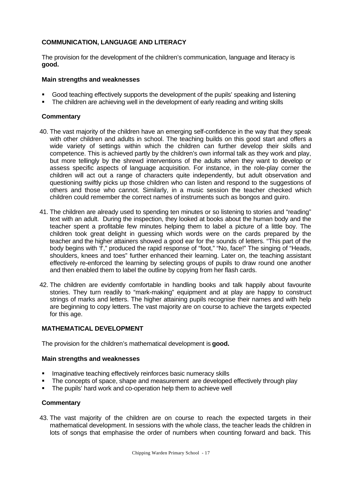## **COMMUNICATION, LANGUAGE AND LITERACY**

The provision for the development of the children's communication, language and literacy is **good.**

#### **Main strengths and weaknesses**

- ß Good teaching effectively supports the development of the pupils' speaking and listening
- ß The children are achieving well in the development of early reading and writing skills

#### **Commentary**

- 40. The vast majority of the children have an emerging self-confidence in the way that they speak with other children and adults in school. The teaching builds on this good start and offers a wide variety of settings within which the children can further develop their skills and competence. This is achieved partly by the children's own informal talk as they work and play, but more tellingly by the shrewd interventions of the adults when they want to develop or assess specific aspects of language acquisition. For instance, in the role-play corner the children will act out a range of characters quite independently, but adult observation and questioning swiftly picks up those children who can listen and respond to the suggestions of others and those who cannot. Similarly, in a music session the teacher checked which children could remember the correct names of instruments such as bongos and guiro.
- 41. The children are already used to spending ten minutes or so listening to stories and "reading" text with an adult. During the inspection, they looked at books about the human body and the teacher spent a profitable few minutes helping them to label a picture of a little boy. The children took great delight in guessing which words were on the cards prepared by the teacher and the higher attainers showed a good ear for the sounds of letters. "This part of the body begins with 'f'," produced the rapid response of "foot," "No, face!" The singing of "Heads, shoulders, knees and toes" further enhanced their learning. Later on, the teaching assistant effectively re-enforced the learning by selecting groups of pupils to draw round one another and then enabled them to label the outline by copying from her flash cards.
- 42. The children are evidently comfortable in handling books and talk happily about favourite stories. They turn readily to "mark-making" equipment and at play are happy to construct strings of marks and letters. The higher attaining pupils recognise their names and with help are beginning to copy letters. The vast majority are on course to achieve the targets expected for this age.

#### **MATHEMATICAL DEVELOPMENT**

The provision for the children's mathematical development is **good.**

#### **Main strengths and weaknesses**

- **IMaginative teaching effectively reinforces basic numeracy skills**
- The concepts of space, shape and measurement are developed effectively through play
- The pupils' hard work and co-operation help them to achieve well

#### **Commentary**

43. The vast majority of the children are on course to reach the expected targets in their mathematical development. In sessions with the whole class, the teacher leads the children in lots of songs that emphasise the order of numbers when counting forward and back. This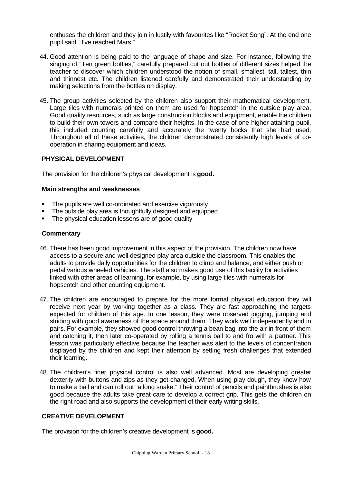enthuses the children and they join in lustily with favourites like "Rocket Song". At the end one pupil said, "I've reached Mars."

- 44. Good attention is being paid to the language of shape and size. For instance, following the singing of "Ten green bottles," carefully prepared cut out bottles of different sizes helped the teacher to discover which children understood the notion of small, smallest, tall, tallest, thin and thinnest etc. The children listened carefully and demonstrated their understanding by making selections from the bottles on display.
- 45. The group activities selected by the children also support their mathematical development. Large tiles with numerals printed on them are used for hopscotch in the outside play area. Good quality resources, such as large construction blocks and equipment, enable the children to build their own towers and compare their heights. In the case of one higher attaining pupil, this included counting carefully and accurately the twenty bocks that she had used. Throughout all of these activities, the children demonstrated consistently high levels of cooperation in sharing equipment and ideas.

#### **PHYSICAL DEVELOPMENT**

The provision for the children's physical development is **good.**

#### **Main strengths and weaknesses**

- The pupils are well co-ordinated and exercise vigorously
- The outside play area is thoughtfully designed and equipped
- The physical education lessons are of good quality

#### **Commentary**

- 46. There has been good improvement in this aspect of the provision. The children now have access to a secure and well designed play area outside the classroom. This enables the adults to provide daily opportunities for the children to climb and balance, and either push or pedal various wheeled vehicles. The staff also makes good use of this facility for activities linked with other areas of learning, for example, by using large tiles with numerals for hopscotch and other counting equipment.
- 47. The children are encouraged to prepare for the more formal physical education they will receive next year by working together as a class. They are fast approaching the targets expected for children of this age. In one lesson, they were observed jogging, jumping and striding with good awareness of the space around them. They work well independently and in pairs. For example, they showed good control throwing a bean bag into the air in front of them and catching it, then later co-operated by rolling a tennis ball to and fro with a partner. This lesson was particularly effective because the teacher was alert to the levels of concentration displayed by the children and kept their attention by setting fresh challenges that extended their learning.
- 48. The children's finer physical control is also well advanced. Most are developing greater dexterity with buttons and zips as they get changed. When using play dough, they know how to make a ball and can roll out "a long snake." Their control of pencils and paintbrushes is also good because the adults take great care to develop a correct grip. This gets the children on the right road and also supports the development of their early writing skills.

## **CREATIVE DEVELOPMENT**

The provision for the children's creative development is **good.**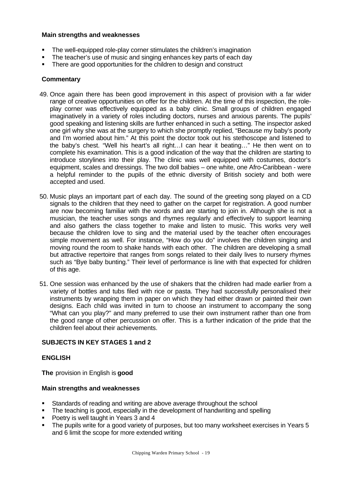#### **Main strengths and weaknesses**

- The well-equipped role-play corner stimulates the children's imagination
- The teacher's use of music and singing enhances key parts of each day
- There are good opportunities for the children to design and construct

#### **Commentary**

- 49. Once again there has been good improvement in this aspect of provision with a far wider range of creative opportunities on offer for the children. At the time of this inspection, the roleplay corner was effectively equipped as a baby clinic. Small groups of children engaged imaginatively in a variety of roles including doctors, nurses and anxious parents. The pupils' good speaking and listening skills are further enhanced in such a setting. The inspector asked one girl why she was at the surgery to which she promptly replied, "Because my baby's poorly and I'm worried about him." At this point the doctor took out his stethoscope and listened to the baby's chest. "Well his heart's all right…I can hear it beating…" He then went on to complete his examination. This is a good indication of the way that the children are starting to introduce storylines into their play. The clinic was well equipped with costumes, doctor's equipment, scales and dressings. The two doll babies – one white, one Afro-Caribbean - were a helpful reminder to the pupils of the ethnic diversity of British society and both were accepted and used.
- 50. Music plays an important part of each day. The sound of the greeting song played on a CD signals to the children that they need to gather on the carpet for registration. A good number are now becoming familiar with the words and are starting to join in. Although she is not a musician, the teacher uses songs and rhymes regularly and effectively to support learning and also gathers the class together to make and listen to music. This works very well because the children love to sing and the material used by the teacher often encourages simple movement as well. For instance, "How do you do" involves the children singing and moving round the room to shake hands with each other. The children are developing a small but attractive repertoire that ranges from songs related to their daily lives to nursery rhymes such as "Bye baby bunting." Their level of performance is line with that expected for children of this age.
- 51. One session was enhanced by the use of shakers that the children had made earlier from a variety of bottles and tubs filed with rice or pasta. They had successfully personalised their instruments by wrapping them in paper on which they had either drawn or painted their own designs. Each child was invited in turn to choose an instrument to accompany the song "What can you play?" and many preferred to use their own instrument rather than one from the good range of other percussion on offer. This is a further indication of the pride that the children feel about their achievements.

#### **SUBJECTS IN KEY STAGES 1 and 2**

#### **ENGLISH**

**The** provision in English is **good**

- **Standards of reading and writing are above average throughout the school**
- The teaching is good, especially in the development of handwriting and spelling
- **Poetry is well taught in Years 3 and 4**
- The pupils write for a good variety of purposes, but too many worksheet exercises in Years 5 and 6 limit the scope for more extended writing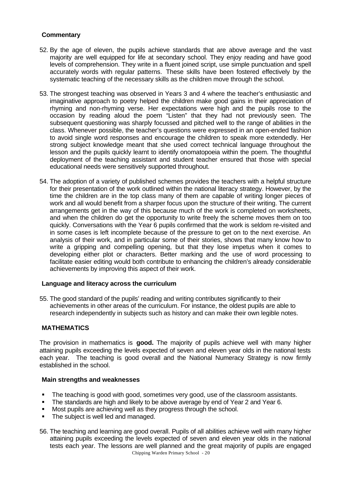## **Commentary**

- 52. By the age of eleven, the pupils achieve standards that are above average and the vast majority are well equipped for life at secondary school. They enjoy reading and have good levels of comprehension. They write in a fluent joined script, use simple punctuation and spell accurately words with regular patterns. These skills have been fostered effectively by the systematic teaching of the necessary skills as the children move through the school.
- 53. The strongest teaching was observed in Years 3 and 4 where the teacher's enthusiastic and imaginative approach to poetry helped the children make good gains in their appreciation of rhyming and non-rhyming verse. Her expectations were high and the pupils rose to the occasion by reading aloud the poem "Listen" that they had not previously seen. The subsequent questioning was sharply focussed and pitched well to the range of abilities in the class. Whenever possible, the teacher's questions were expressed in an open-ended fashion to avoid single word responses and encourage the children to speak more extendedly. Her strong subject knowledge meant that she used correct technical language throughout the lesson and the pupils quickly learnt to identify onomatopoeia within the poem. The thoughtful deployment of the teaching assistant and student teacher ensured that those with special educational needs were sensitively supported throughout.
- 54. The adoption of a variety of published schemes provides the teachers with a helpful structure for their presentation of the work outlined within the national literacy strategy. However, by the time the children are in the top class many of them are capable of writing longer pieces of work and all would benefit from a sharper focus upon the structure of their writing. The current arrangements get in the way of this because much of the work is completed on worksheets, and when the children do get the opportunity to write freely the scheme moves them on too quickly. Conversations with the Year 6 pupils confirmed that the work is seldom re-visited and in some cases is left incomplete because of the pressure to get on to the next exercise. An analysis of their work, and in particular some of their stories, shows that many know how to write a gripping and compelling opening, but that they lose impetus when it comes to developing either plot or characters. Better marking and the use of word processing to facilitate easier editing would both contribute to enhancing the children's already considerable achievements by improving this aspect of their work.

#### **Language and literacy across the curriculum**

55. The good standard of the pupils' reading and writing contributes significantly to their achievements in other areas of the curriculum. For instance, the oldest pupils are able to research independently in subjects such as history and can make their own legible notes.

#### **MATHEMATICS**

The provision in mathematics is **good.** The majority of pupils achieve well with many higher attaining pupils exceeding the levels expected of seven and eleven year olds in the national tests each year. The teaching is good overall and the National Numeracy Strategy is now firmly established in the school.

- The teaching is good with good, sometimes very good, use of the classroom assistants.
- The standards are high and likely to be above average by end of Year 2 and Year 6.
- **Most pupils are achieving well as they progress through the school.**
- The subject is well led and managed.
- 56. The teaching and learning are good overall. Pupils of all abilities achieve well with many higher attaining pupils exceeding the levels expected of seven and eleven year olds in the national tests each year. The lessons are well planned and the great majority of pupils are engaged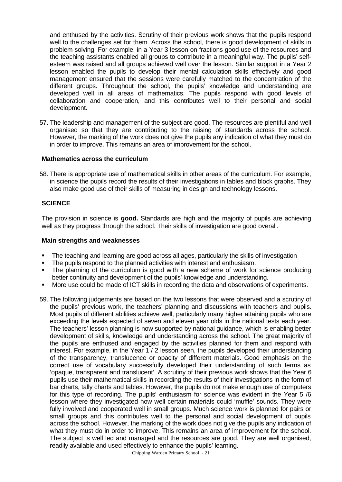and enthused by the activities. Scrutiny of their previous work shows that the pupils respond well to the challenges set for them. Across the school, there is good development of skills in problem solving. For example, in a Year 3 lesson on fractions good use of the resources and the teaching assistants enabled all groups to contribute in a meaningful way. The pupils' selfesteem was raised and all groups achieved well over the lesson. Similar support in a Year 2 lesson enabled the pupils to develop their mental calculation skills effectively and good management ensured that the sessions were carefully matched to the concentration of the different groups. Throughout the school, the pupils' knowledge and understanding are developed well in all areas of mathematics. The pupils respond with good levels of collaboration and cooperation, and this contributes well to their personal and social development.

57. The leadership and management of the subject are good. The resources are plentiful and well organised so that they are contributing to the raising of standards across the school. However, the marking of the work does not give the pupils any indication of what they must do in order to improve. This remains an area of improvement for the school.

#### **Mathematics across the curriculum**

58. There is appropriate use of mathematical skills in other areas of the curriculum. For example, in science the pupils record the results of their investigations in tables and block graphs. They also make good use of their skills of measuring in design and technology lessons.

## **SCIENCE**

The provision in science is **good.** Standards are high and the majority of pupils are achieving well as they progress through the school. Their skills of investigation are good overall.

- The teaching and learning are good across all ages, particularly the skills of investigation
- The pupils respond to the planned activities with interest and enthusiasm.
- The planning of the curriculum is good with a new scheme of work for science producing better continuity and development of the pupils' knowledge and understanding.
- More use could be made of ICT skills in recording the data and observations of experiments.
- 59. The following judgements are based on the two lessons that were observed and a scrutiny of the pupils' previous work, the teachers' planning and discussions with teachers and pupils. Most pupils of different abilities achieve well, particularly many higher attaining pupils who are exceeding the levels expected of seven and eleven year olds in the national tests each year. The teachers' lesson planning is now supported by national guidance, which is enabling better development of skills, knowledge and understanding across the school. The great majority of the pupils are enthused and engaged by the activities planned for them and respond with interest. For example, in the Year 1 / 2 lesson seen, the pupils developed their understanding of the transparency, translucence or opacity of different materials. Good emphasis on the correct use of vocabulary successfully developed their understanding of such terms as 'opaque, transparent and translucent'. A scrutiny of their previous work shows that the Year 6 pupils use their mathematical skills in recording the results of their investigations in the form of bar charts, tally charts and tables. However, the pupils do not make enough use of computers for this type of recording. The pupils' enthusiasm for science was evident in the Year 5 /6 lesson where they investigated how well certain materials could 'muffle' sounds. They were fully involved and cooperated well in small groups. Much science work is planned for pairs or small groups and this contributes well to the personal and social development of pupils across the school. However, the marking of the work does not give the pupils any indication of what they must do in order to improve. This remains an area of improvement for the school. The subject is well led and managed and the resources are good. They are well organised, readily available and used effectively to enhance the pupils' learning.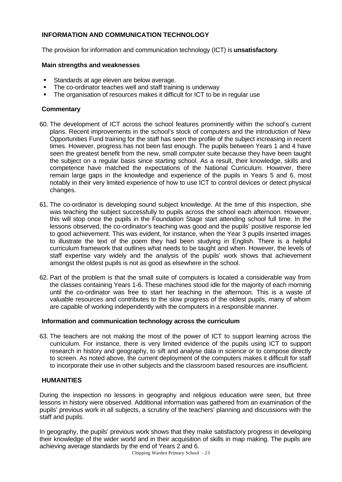## **INFORMATION AND COMMUNICATION TECHNOLOGY**

The provision for information and communication technology (ICT) is **unsatisfactory**.

#### **Main strengths and weaknesses**

- **Standards at age eleven are below average.**
- The co-ordinator teaches well and staff training is underway
- The organisation of resources makes it difficult for ICT to be in regular use

## **Commentary**

- 60. The development of ICT across the school features prominently within the school's current plans. Recent improvements in the school's stock of computers and the introduction of New Opportunities Fund training for the staff has seen the profile of the subject increasing in recent times. However, progress has not been fast enough. The pupils between Years 1 and 4 have seen the greatest benefit from the new, small computer suite because they have been taught the subject on a regular basis since starting school. As a result, their knowledge, skills and competence have matched the expectations of the National Curriculum. However, there remain large gaps in the knowledge and experience of the pupils in Years 5 and 6, most notably in their very limited experience of how to use ICT to control devices or detect physical changes.
- 61. The co-ordinator is developing sound subject knowledge. At the time of this inspection, she was teaching the subject successfully to pupils across the school each afternoon. However, this will stop once the pupils in the Foundation Stage start attending school full time. In the lessons observed, the co-ordinator's teaching was good and the pupils' positive response led to good achievement. This was evident, for instance, when the Year 3 pupils inserted images to illustrate the text of the poem they had been studying in English. There is a helpful curriculum framework that outlines what needs to be taught and when. However, the levels of staff expertise vary widely and the analysis of the pupils' work shows that achievement amongst the oldest pupils is not as good as elsewhere in the school.
- 62. Part of the problem is that the small suite of computers is located a considerable way from the classes containing Years 1-6. These machines stood idle for the majority of each morning until the co-ordinator was free to start her teaching in the afternoon. This is a waste of valuable resources and contributes to the slow progress of the oldest pupils, many of whom are capable of working independently with the computers in a responsible manner.

#### **Information and communication technology across the curriculum**

63. The teachers are not making the most of the power of ICT to support learning across the curriculum. For instance, there is very limited evidence of the pupils using ICT to support research in history and geography, to sift and analyse data in science or to compose directly to screen. As noted above, the current deployment of the computers makes it difficult for staff to incorporate their use in other subjects and the classroom based resources are insufficient.

#### **HUMANITIES**

During the inspection no lessons in geography and religious education were seen, but three lessons in history were observed. Additional information was gathered from an examination of the pupils' previous work in all subjects, a scrutiny of the teachers' planning and discussions with the staff and pupils.

In geography, the pupils' previous work shows that they make satisfactory progress in developing their knowledge of the wider world and in their acquisition of skills in map making. The pupils are achieving average standards by the end of Years 2 and 6.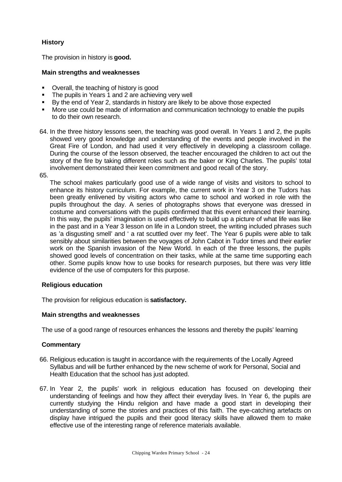## **History**

The provision in history is **good.**

## **Main strengths and weaknesses**

- Overall, the teaching of history is good
- The pupils in Years 1 and 2 are achieving very well
- By the end of Year 2, standards in history are likely to be above those expected
- More use could be made of information and communication technology to enable the pupils to do their own research.
- 64. In the three history lessons seen, the teaching was good overall. In Years 1 and 2, the pupils showed very good knowledge and understanding of the events and people involved in the Great Fire of London, and had used it very effectively in developing a classroom collage. During the course of the lesson observed, the teacher encouraged the children to act out the story of the fire by taking different roles such as the baker or King Charles. The pupils' total involvement demonstrated their keen commitment and good recall of the story.
- 65.

The school makes particularly good use of a wide range of visits and visitors to school to enhance its history curriculum. For example, the current work in Year 3 on the Tudors has been greatly enlivened by visiting actors who came to school and worked in role with the pupils throughout the day. A series of photographs shows that everyone was dressed in costume and conversations with the pupils confirmed that this event enhanced their learning. In this way, the pupils' imagination is used effectively to build up a picture of what life was like in the past and in a Year 3 lesson on life in a London street, the writing included phrases such as 'a disgusting smell' and ' a rat scuttled over my feet'. The Year 6 pupils were able to talk sensibly about similarities between the voyages of John Cabot in Tudor times and their earlier work on the Spanish invasion of the New World. In each of the three lessons, the pupils showed good levels of concentration on their tasks, while at the same time supporting each other. Some pupils know how to use books for research purposes, but there was very little evidence of the use of computers for this purpose.

## **Religious education**

The provision for religious education is **satisfactory.**

#### **Main strengths and weaknesses**

The use of a good range of resources enhances the lessons and thereby the pupils' learning

#### **Commentary**

- 66. Religious education is taught in accordance with the requirements of the Locally Agreed Syllabus and will be further enhanced by the new scheme of work for Personal, Social and Health Education that the school has just adopted.
- 67. In Year 2, the pupils' work in religious education has focused on developing their understanding of feelings and how they affect their everyday lives. In Year 6, the pupils are currently studying the Hindu religion and have made a good start in developing their understanding of some the stories and practices of this faith. The eye-catching artefacts on display have intrigued the pupils and their good literacy skills have allowed them to make effective use of the interesting range of reference materials available.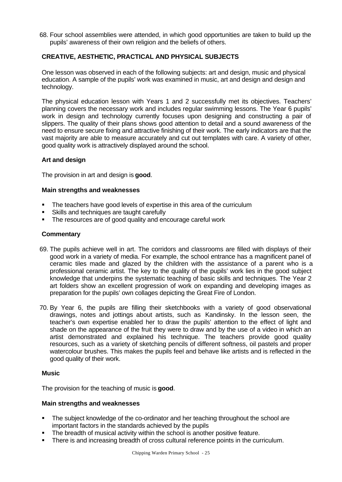68. Four school assemblies were attended, in which good opportunities are taken to build up the pupils' awareness of their own religion and the beliefs of others.

## **CREATIVE, AESTHETIC, PRACTICAL AND PHYSICAL SUBJECTS**

One lesson was observed in each of the following subjects: art and design, music and physical education. A sample of the pupils' work was examined in music, art and design and design and technology.

The physical education lesson with Years 1 and 2 successfully met its objectives. Teachers' planning covers the necessary work and includes regular swimming lessons. The Year 6 pupils' work in design and technology currently focuses upon designing and constructing a pair of slippers. The quality of their plans shows good attention to detail and a sound awareness of the need to ensure secure fixing and attractive finishing of their work. The early indicators are that the vast majority are able to measure accurately and cut out templates with care. A variety of other, good quality work is attractively displayed around the school.

#### **Art and design**

The provision in art and design is **good**.

#### **Main strengths and weaknesses**

- The teachers have good levels of expertise in this area of the curriculum
- ß Skills and techniques are taught carefully
- The resources are of good quality and encourage careful work

#### **Commentary**

- 69. The pupils achieve well in art. The corridors and classrooms are filled with displays of their good work in a variety of media. For example, the school entrance has a magnificent panel of ceramic tiles made and glazed by the children with the assistance of a parent who is a professional ceramic artist. The key to the quality of the pupils' work lies in the good subject knowledge that underpins the systematic teaching of basic skills and techniques. The Year 2 art folders show an excellent progression of work on expanding and developing images as preparation for the pupils' own collages depicting the Great Fire of London.
- 70. By Year 6, the pupils are filling their sketchbooks with a variety of good observational drawings, notes and jottings about artists, such as Kandinsky. In the lesson seen, the teacher's own expertise enabled her to draw the pupils' attention to the effect of light and shade on the appearance of the fruit they were to draw and by the use of a video in which an artist demonstrated and explained his technique. The teachers provide good quality resources, such as a variety of sketching pencils of different softness, oil pastels and proper watercolour brushes. This makes the pupils feel and behave like artists and is reflected in the good quality of their work.

#### **Music**

The provision for the teaching of music is **good**.

- The subject knowledge of the co-ordinator and her teaching throughout the school are important factors in the standards achieved by the pupils
- The breadth of musical activity within the school is another positive feature.
- There is and increasing breadth of cross cultural reference points in the curriculum.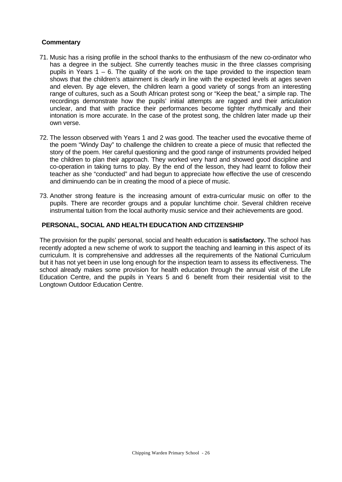## **Commentary**

- 71. Music has a rising profile in the school thanks to the enthusiasm of the new co-ordinator who has a degree in the subject. She currently teaches music in the three classes comprising pupils in Years  $1 - 6$ . The quality of the work on the tape provided to the inspection team shows that the children's attainment is clearly in line with the expected levels at ages seven and eleven. By age eleven, the children learn a good variety of songs from an interesting range of cultures, such as a South African protest song or "Keep the beat," a simple rap. The recordings demonstrate how the pupils' initial attempts are ragged and their articulation unclear, and that with practice their performances become tighter rhythmically and their intonation is more accurate. In the case of the protest song, the children later made up their own verse.
- 72. The lesson observed with Years 1 and 2 was good. The teacher used the evocative theme of the poem "Windy Day" to challenge the children to create a piece of music that reflected the story of the poem. Her careful questioning and the good range of instruments provided helped the children to plan their approach. They worked very hard and showed good discipline and co-operation in taking turns to play. By the end of the lesson, they had learnt to follow their teacher as she "conducted" and had begun to appreciate how effective the use of crescendo and diminuendo can be in creating the mood of a piece of music.
- 73. Another strong feature is the increasing amount of extra-curricular music on offer to the pupils. There are recorder groups and a popular lunchtime choir. Several children receive instrumental tuition from the local authority music service and their achievements are good.

#### **PERSONAL, SOCIAL AND HEALTH EDUCATION AND CITIZENSHIP**

The provision for the pupils' personal, social and health education is **satisfactory.** The school has recently adopted a new scheme of work to support the teaching and learning in this aspect of its curriculum. It is comprehensive and addresses all the requirements of the National Curriculum but it has not yet been in use long enough for the inspection team to assess its effectiveness. The school already makes some provision for health education through the annual visit of the Life Education Centre, and the pupils in Years 5 and 6 benefit from their residential visit to the Longtown Outdoor Education Centre.